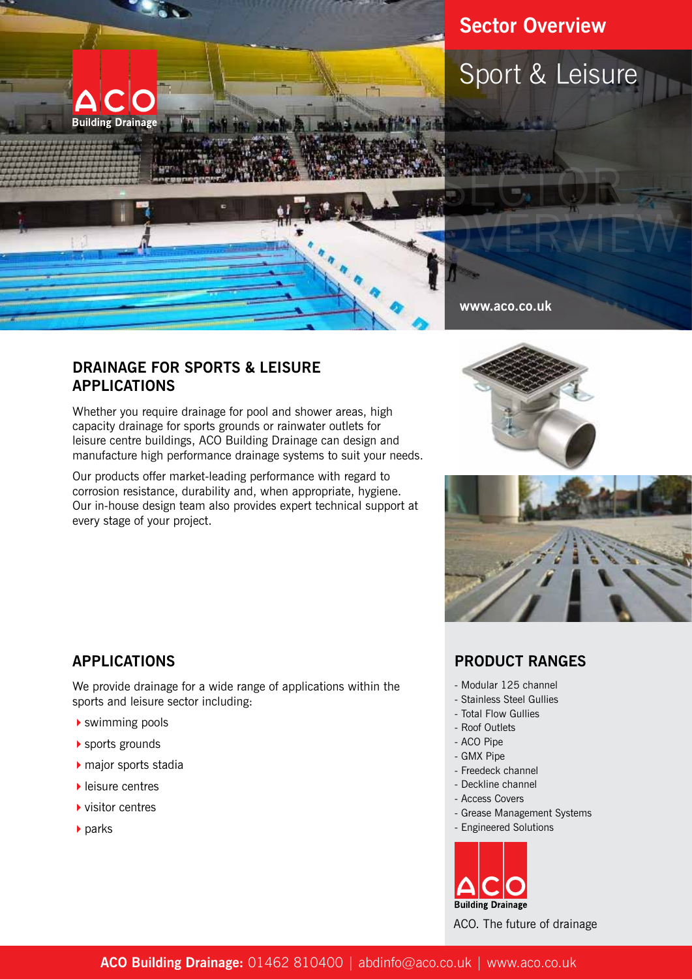

# **Sector Overview**





**www.aco.co.uk**

#### **DRAINAGE FOR SPORTS & LEISURE APPLICATIONS**

Whether you require drainage for pool and shower areas, high capacity drainage for sports grounds or rainwater outlets for leisure centre buildings, ACO Building Drainage can design and manufacture high performance drainage systems to suit your needs.

Our products offer market-leading performance with regard to corrosion resistance, durability and, when appropriate, hygiene. Our in-house design team also provides expert technical support at every stage of your project.





## **APPLICATIONS**

We provide drainage for a wide range of applications within the sports and leisure sector including:

- $\blacktriangleright$  swimming pools
- $\blacktriangleright$  sports grounds
- $\blacktriangleright$  major sports stadia
- $\blacktriangleright$  leisure centres
- $\blacktriangleright$  visitor centres
- $\blacktriangleright$  parks

### **PRODUCT RANGES**

- Modular 125 channel
- Stainless Steel Gullies
- Total Flow Gullies
- Roof Outlets
- ACO Pipe
- GMX Pipe
- Freedeck channel
- Deckline channel
- Access Covers
- Grease Management Systems
- Engineered Solutions



ACO. The future of drainage